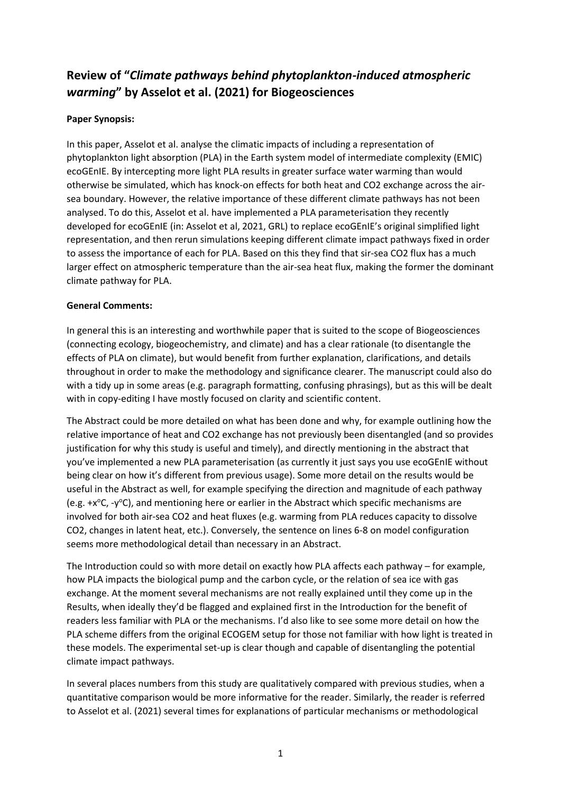# **Review of "***Climate pathways behind phytoplankton-induced atmospheric warming***" by Asselot et al. (2021) for Biogeosciences**

## **Paper Synopsis:**

In this paper, Asselot et al. analyse the climatic impacts of including a representation of phytoplankton light absorption (PLA) in the Earth system model of intermediate complexity (EMIC) ecoGEnIE. By intercepting more light PLA results in greater surface water warming than would otherwise be simulated, which has knock-on effects for both heat and CO2 exchange across the airsea boundary. However, the relative importance of these different climate pathways has not been analysed. To do this, Asselot et al. have implemented a PLA parameterisation they recently developed for ecoGEnIE (in: Asselot et al, 2021, GRL) to replace ecoGEnIE's original simplified light representation, and then rerun simulations keeping different climate impact pathways fixed in order to assess the importance of each for PLA. Based on this they find that sir-sea CO2 flux has a much larger effect on atmospheric temperature than the air-sea heat flux, making the former the dominant climate pathway for PLA.

### **General Comments:**

In general this is an interesting and worthwhile paper that is suited to the scope of Biogeosciences (connecting ecology, biogeochemistry, and climate) and has a clear rationale (to disentangle the effects of PLA on climate), but would benefit from further explanation, clarifications, and details throughout in order to make the methodology and significance clearer. The manuscript could also do with a tidy up in some areas (e.g. paragraph formatting, confusing phrasings), but as this will be dealt with in copy-editing I have mostly focused on clarity and scientific content.

The Abstract could be more detailed on what has been done and why, for example outlining how the relative importance of heat and CO2 exchange has not previously been disentangled (and so provides justification for why this study is useful and timely), and directly mentioning in the abstract that you've implemented a new PLA parameterisation (as currently it just says you use ecoGEnIE without being clear on how it's different from previous usage). Some more detail on the results would be useful in the Abstract as well, for example specifying the direction and magnitude of each pathway (e.g.  $+x^{\circ}C$ , -y<sup>o</sup>C), and mentioning here or earlier in the Abstract which specific mechanisms are involved for both air-sea CO2 and heat fluxes (e.g. warming from PLA reduces capacity to dissolve CO2, changes in latent heat, etc.). Conversely, the sentence on lines 6-8 on model configuration seems more methodological detail than necessary in an Abstract.

The Introduction could so with more detail on exactly how PLA affects each pathway – for example, how PLA impacts the biological pump and the carbon cycle, or the relation of sea ice with gas exchange. At the moment several mechanisms are not really explained until they come up in the Results, when ideally they'd be flagged and explained first in the Introduction for the benefit of readers less familiar with PLA or the mechanisms. I'd also like to see some more detail on how the PLA scheme differs from the original ECOGEM setup for those not familiar with how light is treated in these models. The experimental set-up is clear though and capable of disentangling the potential climate impact pathways.

In several places numbers from this study are qualitatively compared with previous studies, when a quantitative comparison would be more informative for the reader. Similarly, the reader is referred to Asselot et al. (2021) several times for explanations of particular mechanisms or methodological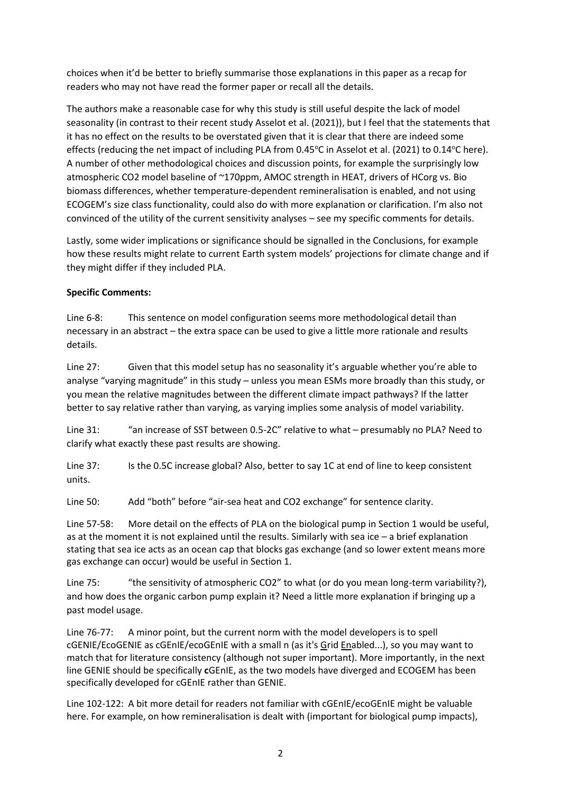choices when it'd be better to briefly summarise those explanations in this paper as a recap for readers who may not have read the former paper or recall all the details.

The authors make a reasonable case for why this study is still useful despite the lack of model seasonality (in contrast to their recent study Asselot et al. (2021)), but I feel that the statements that it has no effect on the results to be overstated given that it is clear that there are indeed some effects (reducing the net impact of including PLA from 0.45 $\degree$ C in Asselot et al. (2021) to 0.14 $\degree$ C here). A number of other methodological choices and discussion points, for example the surprisingly low atmospheric CO2 model baseline of ~170ppm, AMOC strength in HEAT, drivers of HCorg vs. Bio biomass differences, whether temperature-dependent remineralisation is enabled, and not using ECOGEM's size class functionality, could also do with more explanation or clarification. I'm also not convinced of the utility of the current sensitivity analyses – see my specific comments for details.

Lastly, some wider implications or significance should be signalled in the Conclusions, for example how these results might relate to current Earth system models' projections for climate change and if they might differ if they included PLA.

### **Specific Comments:**

Line 6-8: This sentence on model configuration seems more methodological detail than necessary in an abstract – the extra space can be used to give a little more rationale and results details.

Line 27: Given that this model setup has no seasonality it's arguable whether you're able to analyse "varying magnitude" in this study – unless you mean ESMs more broadly than this study, or you mean the relative magnitudes between the different climate impact pathways? If the latter better to say relative rather than varying, as varying implies some analysis of model variability.

Line 31: "an increase of SST between 0.5-2C" relative to what – presumably no PLA? Need to clarify what exactly these past results are showing.

Line 37: Is the 0.5C increase global? Also, better to say 1C at end of line to keep consistent units.

Line 50: Add "both" before "air-sea heat and CO2 exchange" for sentence clarity.

Line 57-58: More detail on the effects of PLA on the biological pump in Section 1 would be useful, as at the moment it is not explained until the results. Similarly with sea ice – a brief explanation stating that sea ice acts as an ocean cap that blocks gas exchange (and so lower extent means more gas exchange can occur) would be useful in Section 1.

Line 75: "the sensitivity of atmospheric CO2" to what (or do you mean long-term variability?), and how does the organic carbon pump explain it? Need a little more explanation if bringing up a past model usage.

Line 76-77: A minor point, but the current norm with the model developers is to spell cGENIE/EcoGENIE as cGEnIE/ecoGEnIE with a small n (as it's Grid Enabled...), so you may want to match that for literature consistency (although not super important). More importantly, in the next line GENIE should be specifically **c**GEnIE, as the two models have diverged and ECOGEM has been specifically developed for cGEnIE rather than GENIE.

Line 102-122: A bit more detail for readers not familiar with cGEnIE/ecoGEnIE might be valuable here. For example, on how remineralisation is dealt with (important for biological pump impacts),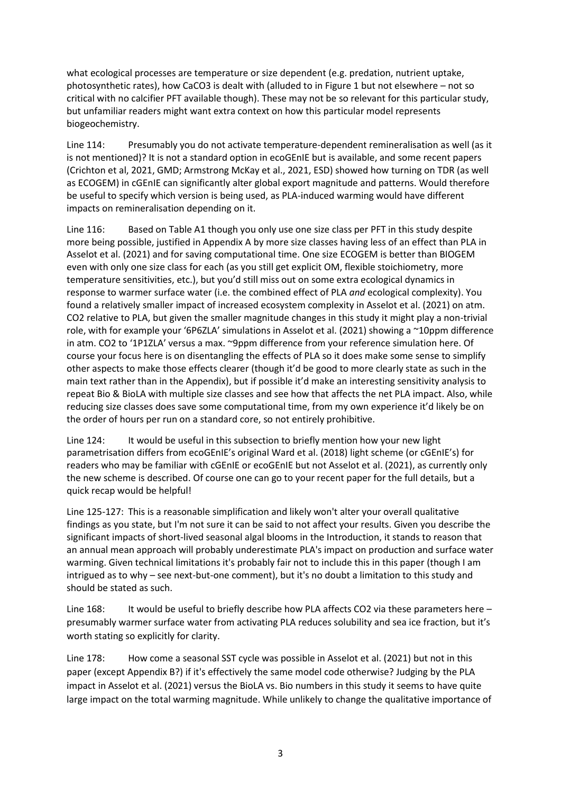what ecological processes are temperature or size dependent (e.g. predation, nutrient uptake, photosynthetic rates), how CaCO3 is dealt with (alluded to in Figure 1 but not elsewhere – not so critical with no calcifier PFT available though). These may not be so relevant for this particular study, but unfamiliar readers might want extra context on how this particular model represents biogeochemistry.

Line 114: Presumably you do not activate temperature-dependent remineralisation as well (as it is not mentioned)? It is not a standard option in ecoGEnIE but is available, and some recent papers (Crichton et al, 2021, GMD; Armstrong McKay et al., 2021, ESD) showed how turning on TDR (as well as ECOGEM) in cGEnIE can significantly alter global export magnitude and patterns. Would therefore be useful to specify which version is being used, as PLA-induced warming would have different impacts on remineralisation depending on it.

Line 116: Based on Table A1 though you only use one size class per PFT in this study despite more being possible, justified in Appendix A by more size classes having less of an effect than PLA in Asselot et al. (2021) and for saving computational time. One size ECOGEM is better than BIOGEM even with only one size class for each (as you still get explicit OM, flexible stoichiometry, more temperature sensitivities, etc.), but you'd still miss out on some extra ecological dynamics in response to warmer surface water (i.e. the combined effect of PLA *and* ecological complexity). You found a relatively smaller impact of increased ecosystem complexity in Asselot et al. (2021) on atm. CO2 relative to PLA, but given the smaller magnitude changes in this study it might play a non-trivial role, with for example your '6P6ZLA' simulations in Asselot et al. (2021) showing a ~10ppm difference in atm. CO2 to '1P1ZLA' versus a max. ~9ppm difference from your reference simulation here. Of course your focus here is on disentangling the effects of PLA so it does make some sense to simplify other aspects to make those effects clearer (though it'd be good to more clearly state as such in the main text rather than in the Appendix), but if possible it'd make an interesting sensitivity analysis to repeat Bio & BioLA with multiple size classes and see how that affects the net PLA impact. Also, while reducing size classes does save some computational time, from my own experience it'd likely be on the order of hours per run on a standard core, so not entirely prohibitive.

Line 124: It would be useful in this subsection to briefly mention how your new light parametrisation differs from ecoGEnIE's original Ward et al. (2018) light scheme (or cGEnIE's) for readers who may be familiar with cGEnIE or ecoGEnIE but not Asselot et al. (2021), as currently only the new scheme is described. Of course one can go to your recent paper for the full details, but a quick recap would be helpful!

Line 125-127: This is a reasonable simplification and likely won't alter your overall qualitative findings as you state, but I'm not sure it can be said to not affect your results. Given you describe the significant impacts of short-lived seasonal algal blooms in the Introduction, it stands to reason that an annual mean approach will probably underestimate PLA's impact on production and surface water warming. Given technical limitations it's probably fair not to include this in this paper (though I am intrigued as to why – see next-but-one comment), but it's no doubt a limitation to this study and should be stated as such.

Line 168: It would be useful to briefly describe how PLA affects CO2 via these parameters here – presumably warmer surface water from activating PLA reduces solubility and sea ice fraction, but it's worth stating so explicitly for clarity.

Line 178: How come a seasonal SST cycle was possible in Asselot et al. (2021) but not in this paper (except Appendix B?) if it's effectively the same model code otherwise? Judging by the PLA impact in Asselot et al. (2021) versus the BioLA vs. Bio numbers in this study it seems to have quite large impact on the total warming magnitude. While unlikely to change the qualitative importance of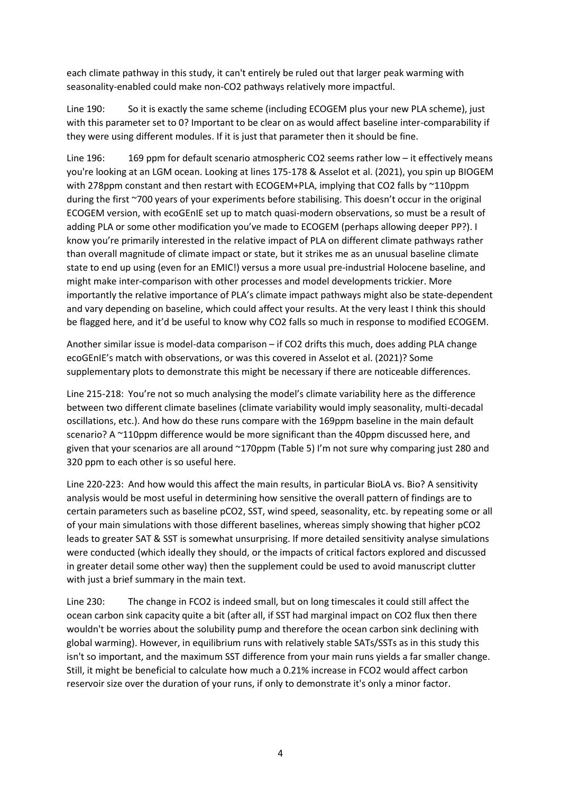each climate pathway in this study, it can't entirely be ruled out that larger peak warming with seasonality-enabled could make non-CO2 pathways relatively more impactful.

Line 190: So it is exactly the same scheme (including ECOGEM plus your new PLA scheme), just with this parameter set to 0? Important to be clear on as would affect baseline inter-comparability if they were using different modules. If it is just that parameter then it should be fine.

Line 196: 169 ppm for default scenario atmospheric CO2 seems rather low – it effectively means you're looking at an LGM ocean. Looking at lines 175-178 & Asselot et al. (2021), you spin up BIOGEM with 278ppm constant and then restart with ECOGEM+PLA, implying that CO2 falls by ~110ppm during the first ~700 years of your experiments before stabilising. This doesn't occur in the original ECOGEM version, with ecoGEnIE set up to match quasi-modern observations, so must be a result of adding PLA or some other modification you've made to ECOGEM (perhaps allowing deeper PP?). I know you're primarily interested in the relative impact of PLA on different climate pathways rather than overall magnitude of climate impact or state, but it strikes me as an unusual baseline climate state to end up using (even for an EMIC!) versus a more usual pre-industrial Holocene baseline, and might make inter-comparison with other processes and model developments trickier. More importantly the relative importance of PLA's climate impact pathways might also be state-dependent and vary depending on baseline, which could affect your results. At the very least I think this should be flagged here, and it'd be useful to know why CO2 falls so much in response to modified ECOGEM.

Another similar issue is model-data comparison – if CO2 drifts this much, does adding PLA change ecoGEnIE's match with observations, or was this covered in Asselot et al. (2021)? Some supplementary plots to demonstrate this might be necessary if there are noticeable differences.

Line 215-218: You're not so much analysing the model's climate variability here as the difference between two different climate baselines (climate variability would imply seasonality, multi-decadal oscillations, etc.). And how do these runs compare with the 169ppm baseline in the main default scenario? A ~110ppm difference would be more significant than the 40ppm discussed here, and given that your scenarios are all around ~170ppm (Table 5) I'm not sure why comparing just 280 and 320 ppm to each other is so useful here.

Line 220-223: And how would this affect the main results, in particular BioLA vs. Bio? A sensitivity analysis would be most useful in determining how sensitive the overall pattern of findings are to certain parameters such as baseline pCO2, SST, wind speed, seasonality, etc. by repeating some or all of your main simulations with those different baselines, whereas simply showing that higher pCO2 leads to greater SAT & SST is somewhat unsurprising. If more detailed sensitivity analyse simulations were conducted (which ideally they should, or the impacts of critical factors explored and discussed in greater detail some other way) then the supplement could be used to avoid manuscript clutter with just a brief summary in the main text.

Line 230: The change in FCO2 is indeed small, but on long timescales it could still affect the ocean carbon sink capacity quite a bit (after all, if SST had marginal impact on CO2 flux then there wouldn't be worries about the solubility pump and therefore the ocean carbon sink declining with global warming). However, in equilibrium runs with relatively stable SATs/SSTs as in this study this isn't so important, and the maximum SST difference from your main runs yields a far smaller change. Still, it might be beneficial to calculate how much a 0.21% increase in FCO2 would affect carbon reservoir size over the duration of your runs, if only to demonstrate it's only a minor factor.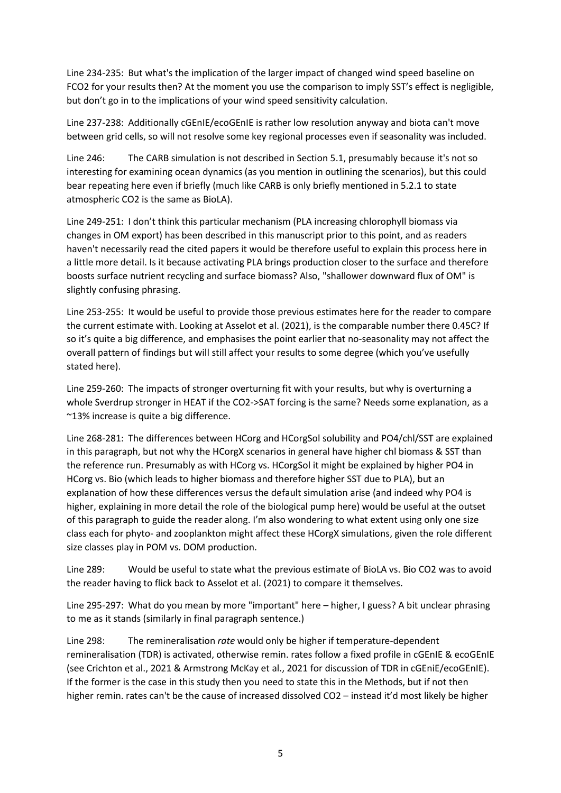Line 234-235: But what's the implication of the larger impact of changed wind speed baseline on FCO2 for your results then? At the moment you use the comparison to imply SST's effect is negligible, but don't go in to the implications of your wind speed sensitivity calculation.

Line 237-238: Additionally cGEnIE/ecoGEnIE is rather low resolution anyway and biota can't move between grid cells, so will not resolve some key regional processes even if seasonality was included.

Line 246: The CARB simulation is not described in Section 5.1, presumably because it's not so interesting for examining ocean dynamics (as you mention in outlining the scenarios), but this could bear repeating here even if briefly (much like CARB is only briefly mentioned in 5.2.1 to state atmospheric CO2 is the same as BioLA).

Line 249-251: I don't think this particular mechanism (PLA increasing chlorophyll biomass via changes in OM export) has been described in this manuscript prior to this point, and as readers haven't necessarily read the cited papers it would be therefore useful to explain this process here in a little more detail. Is it because activating PLA brings production closer to the surface and therefore boosts surface nutrient recycling and surface biomass? Also, "shallower downward flux of OM" is slightly confusing phrasing.

Line 253-255: It would be useful to provide those previous estimates here for the reader to compare the current estimate with. Looking at Asselot et al. (2021), is the comparable number there 0.45C? If so it's quite a big difference, and emphasises the point earlier that no-seasonality may not affect the overall pattern of findings but will still affect your results to some degree (which you've usefully stated here).

Line 259-260: The impacts of stronger overturning fit with your results, but why is overturning a whole Sverdrup stronger in HEAT if the CO2->SAT forcing is the same? Needs some explanation, as a ~13% increase is quite a big difference.

Line 268-281: The differences between HCorg and HCorgSol solubility and PO4/chl/SST are explained in this paragraph, but not why the HCorgX scenarios in general have higher chl biomass & SST than the reference run. Presumably as with HCorg vs. HCorgSol it might be explained by higher PO4 in HCorg vs. Bio (which leads to higher biomass and therefore higher SST due to PLA), but an explanation of how these differences versus the default simulation arise (and indeed why PO4 is higher, explaining in more detail the role of the biological pump here) would be useful at the outset of this paragraph to guide the reader along. I'm also wondering to what extent using only one size class each for phyto- and zooplankton might affect these HCorgX simulations, given the role different size classes play in POM vs. DOM production.

Line 289: Would be useful to state what the previous estimate of BioLA vs. Bio CO2 was to avoid the reader having to flick back to Asselot et al. (2021) to compare it themselves.

Line 295-297: What do you mean by more "important" here – higher, I guess? A bit unclear phrasing to me as it stands (similarly in final paragraph sentence.)

Line 298: The remineralisation *rate* would only be higher if temperature-dependent remineralisation (TDR) is activated, otherwise remin. rates follow a fixed profile in cGEnIE & ecoGEnIE (see Crichton et al., 2021 & Armstrong McKay et al., 2021 for discussion of TDR in cGEniE/ecoGEnIE). If the former is the case in this study then you need to state this in the Methods, but if not then higher remin. rates can't be the cause of increased dissolved CO2 – instead it'd most likely be higher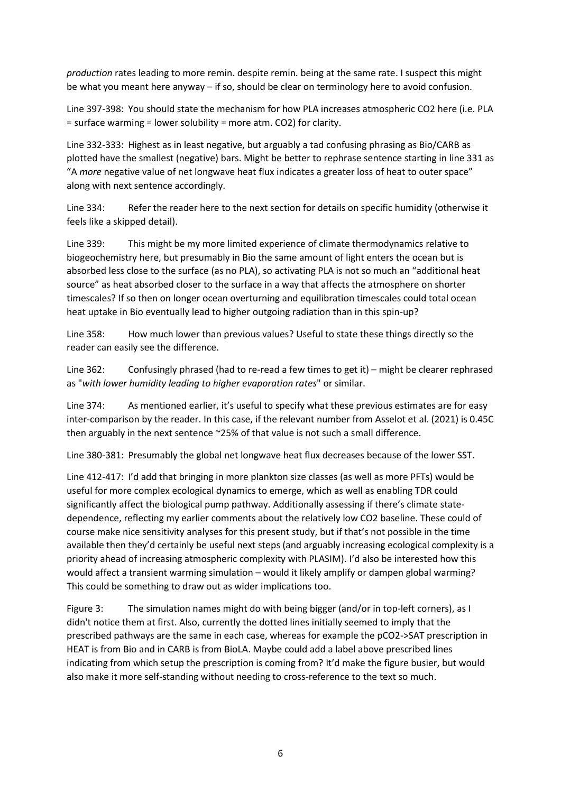*production* rates leading to more remin. despite remin. being at the same rate. I suspect this might be what you meant here anyway – if so, should be clear on terminology here to avoid confusion.

Line 397-398: You should state the mechanism for how PLA increases atmospheric CO2 here (i.e. PLA = surface warming = lower solubility = more atm. CO2) for clarity.

Line 332-333: Highest as in least negative, but arguably a tad confusing phrasing as Bio/CARB as plotted have the smallest (negative) bars. Might be better to rephrase sentence starting in line 331 as "A *more* negative value of net longwave heat flux indicates a greater loss of heat to outer space" along with next sentence accordingly.

Line 334: Refer the reader here to the next section for details on specific humidity (otherwise it feels like a skipped detail).

Line 339: This might be my more limited experience of climate thermodynamics relative to biogeochemistry here, but presumably in Bio the same amount of light enters the ocean but is absorbed less close to the surface (as no PLA), so activating PLA is not so much an "additional heat source" as heat absorbed closer to the surface in a way that affects the atmosphere on shorter timescales? If so then on longer ocean overturning and equilibration timescales could total ocean heat uptake in Bio eventually lead to higher outgoing radiation than in this spin-up?

Line 358: How much lower than previous values? Useful to state these things directly so the reader can easily see the difference.

Line 362: Confusingly phrased (had to re-read a few times to get it) – might be clearer rephrased as "*with lower humidity leading to higher evaporation rates*" or similar.

Line 374: As mentioned earlier, it's useful to specify what these previous estimates are for easy inter-comparison by the reader. In this case, if the relevant number from Asselot et al. (2021) is 0.45C then arguably in the next sentence ~25% of that value is not such a small difference.

Line 380-381: Presumably the global net longwave heat flux decreases because of the lower SST.

Line 412-417: I'd add that bringing in more plankton size classes (as well as more PFTs) would be useful for more complex ecological dynamics to emerge, which as well as enabling TDR could significantly affect the biological pump pathway. Additionally assessing if there's climate statedependence, reflecting my earlier comments about the relatively low CO2 baseline. These could of course make nice sensitivity analyses for this present study, but if that's not possible in the time available then they'd certainly be useful next steps (and arguably increasing ecological complexity is a priority ahead of increasing atmospheric complexity with PLASIM). I'd also be interested how this would affect a transient warming simulation – would it likely amplify or dampen global warming? This could be something to draw out as wider implications too.

Figure 3: The simulation names might do with being bigger (and/or in top-left corners), as I didn't notice them at first. Also, currently the dotted lines initially seemed to imply that the prescribed pathways are the same in each case, whereas for example the pCO2->SAT prescription in HEAT is from Bio and in CARB is from BioLA. Maybe could add a label above prescribed lines indicating from which setup the prescription is coming from? It'd make the figure busier, but would also make it more self-standing without needing to cross-reference to the text so much.